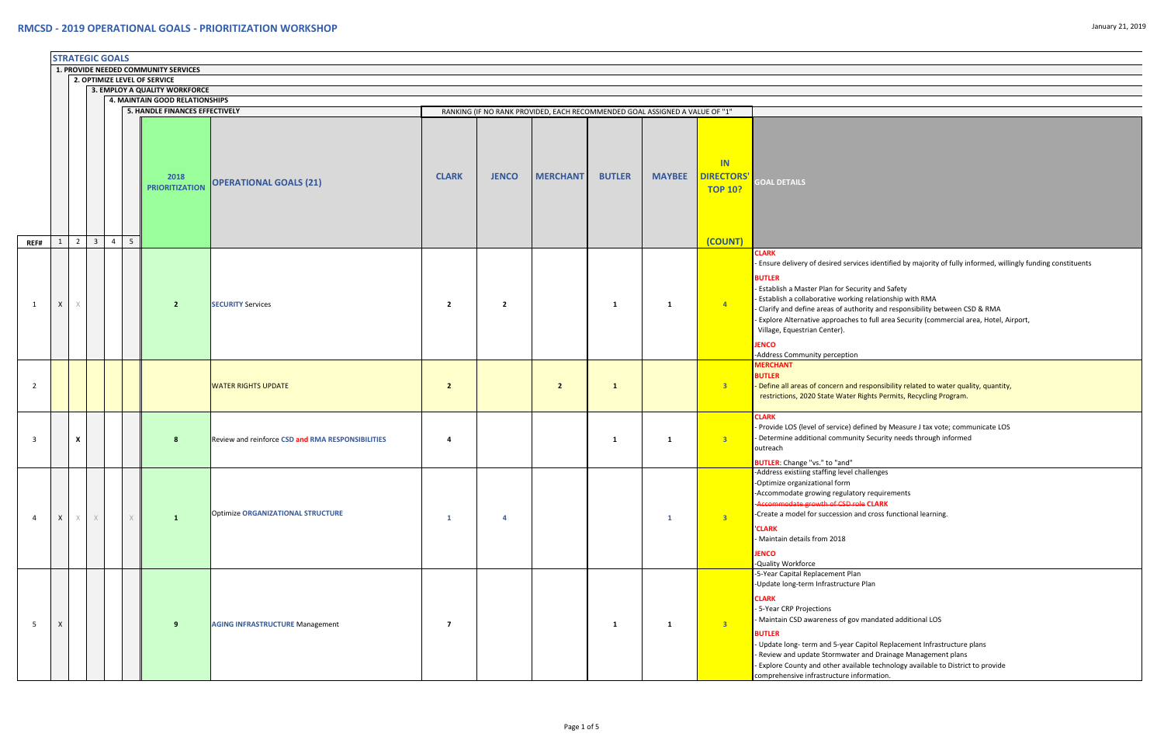|                |                                      |                                                               | <b>STRATEGIC GOALS</b> |                |                |                                |                                                   |                         |                |                                                                             |               |               |                                                             |                                                                                                                                                                                                                                                                                                                    |
|----------------|--------------------------------------|---------------------------------------------------------------|------------------------|----------------|----------------|--------------------------------|---------------------------------------------------|-------------------------|----------------|-----------------------------------------------------------------------------|---------------|---------------|-------------------------------------------------------------|--------------------------------------------------------------------------------------------------------------------------------------------------------------------------------------------------------------------------------------------------------------------------------------------------------------------|
|                | 1. PROVIDE NEEDED COMMUNITY SERVICES |                                                               |                        |                |                |                                |                                                   |                         |                |                                                                             |               |               |                                                             |                                                                                                                                                                                                                                                                                                                    |
|                |                                      | 2. OPTIMIZE LEVEL OF SERVICE<br>3. EMPLOY A QUALITY WORKFORCE |                        |                |                |                                |                                                   |                         |                |                                                                             |               |               |                                                             |                                                                                                                                                                                                                                                                                                                    |
|                |                                      | <b>4. MAINTAIN GOOD RELATIONSHIPS</b>                         |                        |                |                |                                |                                                   |                         |                |                                                                             |               |               |                                                             |                                                                                                                                                                                                                                                                                                                    |
|                |                                      |                                                               |                        |                |                | 5. HANDLE FINANCES EFFECTIVELY |                                                   |                         |                | RANKING (IF NO RANK PROVIDED, EACH RECOMMENDED GOAL ASSIGNED A VALUE OF "1" |               |               |                                                             |                                                                                                                                                                                                                                                                                                                    |
| REF#           | 1                                    | $\overline{2}$                                                | $\overline{3}$         | $\overline{4}$ | 5 <sup>1</sup> | 2018<br><b>PRIORITIZATION</b>  | <b>OPERATIONAL GOALS (21)</b>                     | <b>CLARK</b>            | <b>JENCO</b>   | <b>MERCHANT</b>                                                             | <b>BUTLER</b> | <b>MAYBEE</b> | <b>IN</b><br><b>DIRECTORS'</b><br><b>TOP 10?</b><br>(COUNT) | <b>GOAL DETAILS</b>                                                                                                                                                                                                                                                                                                |
| 1              | $\mathsf{X}$                         | $\times$                                                      |                        |                |                | $\overline{2}$                 | <b>SECURITY Services</b>                          | $\overline{2}$          | $\overline{2}$ |                                                                             | <b>1</b>      | $\mathbf{1}$  | $\overline{4}$                                              | <b>CLARK</b><br>- Ensure delivery of desired servid<br><b>BUTLER</b><br>- Establish a Master Plan for Secu<br>- Establish a collaborative workin<br>- Clarify and define areas of auth<br>- Explore Alternative approaches<br>Village, Equestrian Center).<br><b>JENCO</b><br>-Address Community perception        |
| $\overline{2}$ |                                      |                                                               |                        |                |                |                                | <b>WATER RIGHTS UPDATE</b>                        | $\overline{2}$          |                | $\overline{2}$                                                              | $\mathbf{1}$  |               | 3 <sup>7</sup>                                              | <b>MERCHANT</b><br><b>BUTLER</b><br>- Define all areas of concern and<br>restrictions, 2020 State Water F                                                                                                                                                                                                          |
| 3              |                                      | X                                                             |                        |                |                | 8                              | Review and reinforce CSD and RMA RESPONSIBILITIES | 4                       |                |                                                                             | <b>1</b>      | 1             | 3 <sup>7</sup>                                              | <b>CLARK</b><br>- Provide LOS (level of service) de<br>- Determine additional communit<br>outreach                                                                                                                                                                                                                 |
| $\overline{4}$ | $\mathsf{X}$                         | $\times$                                                      | $\times$               |                | $\chi$         | $\mathbf{1}$                   | <b>Optimize ORGANIZATIONAL STRUCTURE</b>          | $\mathbf{1}$            | $\overline{a}$ |                                                                             |               | 1             | 3 <sup>7</sup>                                              | <b>BUTLER:</b> Change "vs." to "and"<br>-Address existiing staffing level ch<br>-Optimize organizational form<br>-Accommodate growing regulato<br>-Accommodate growth of CSD ro<br>-Create a model for succession ar<br><b>CLARK</b><br>- Maintain details from 2018<br><b>JENCO</b><br>-Quality Workforce         |
| 5              | X                                    |                                                               |                        |                |                | 9                              | <b>AGING INFRASTRUCTURE Management</b>            | $\overline{\mathbf{z}}$ |                |                                                                             | 1             | 1             | 3 <sup>o</sup>                                              | -5-Year Capital Replacement Plan<br>-Update long-term Infrastructure<br><b>CLARK</b><br>- 5-Year CRP Projections<br>- Maintain CSD awareness of gov<br><b>BUTLER</b><br>- Update long-term and 5-year C<br>- Review and update Stormwater<br>- Explore County and other availa<br>comprehensive infrastructure inf |

vices identified by majority of fully informed, willingly funding constituents

- ecurity and Safety
- king relationship with RMA
- thority and responsibility between CSD & RMA
- es to full area Security (commercial area, Hotel, Airport,

d responsibility related to water quality, quantity, r Rights Permits, Recycling Program.

defined by Measure J tax vote; communicate LOS nity Security needs through informed

l challenges

tory requirements ‐Accommodate growth of CSD role **CLARK** and cross functional learning.

ure Plan

ov mandated additional LOS

r Capitol Replacement Infrastructure plans ter and Drainage Management plans illable technology available to District to provide information.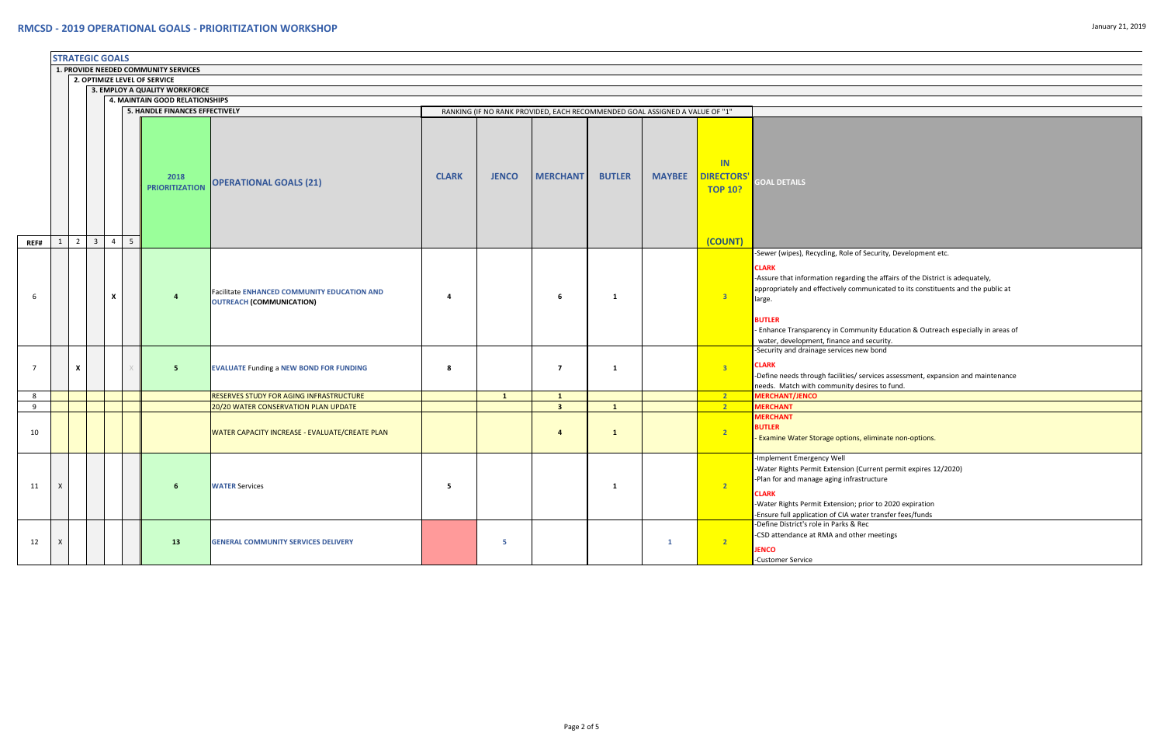|                |              |                | <b>STRATEGIC GOALS</b>  |                |                |                                                               |                                                                                |              |                |                                                                             |               |               |                                           |                                                                                                                                                                                                                                      |
|----------------|--------------|----------------|-------------------------|----------------|----------------|---------------------------------------------------------------|--------------------------------------------------------------------------------|--------------|----------------|-----------------------------------------------------------------------------|---------------|---------------|-------------------------------------------|--------------------------------------------------------------------------------------------------------------------------------------------------------------------------------------------------------------------------------------|
|                |              |                |                         |                |                | 1. PROVIDE NEEDED COMMUNITY SERVICES                          |                                                                                |              |                |                                                                             |               |               |                                           |                                                                                                                                                                                                                                      |
|                |              |                |                         |                |                | 2. OPTIMIZE LEVEL OF SERVICE<br>3. EMPLOY A QUALITY WORKFORCE |                                                                                |              |                |                                                                             |               |               |                                           |                                                                                                                                                                                                                                      |
|                |              |                |                         |                |                | 4. MAINTAIN GOOD RELATIONSHIPS                                |                                                                                |              |                |                                                                             |               |               |                                           |                                                                                                                                                                                                                                      |
|                |              |                |                         |                |                | 5. HANDLE FINANCES EFFECTIVELY                                |                                                                                |              |                | RANKING (IF NO RANK PROVIDED, EACH RECOMMENDED GOAL ASSIGNED A VALUE OF "1" |               |               |                                           |                                                                                                                                                                                                                                      |
|                |              |                |                         |                |                |                                                               |                                                                                |              |                |                                                                             |               |               |                                           |                                                                                                                                                                                                                                      |
|                |              |                |                         |                |                | 2018<br><b>PRIORITIZATION</b>                                 | <b>OPERATIONAL GOALS (21)</b>                                                  | <b>CLARK</b> | <b>JENCO</b>   | <b>MERCHANT</b>                                                             | <b>BUTLER</b> | <b>MAYBEE</b> | IN<br><b>DIRECTORS'</b><br><b>TOP 10?</b> | <b>GOAL DETAILS</b>                                                                                                                                                                                                                  |
| REF#           | $\mathbf{1}$ | $\overline{2}$ | $\overline{\mathbf{3}}$ | $\overline{4}$ | 5 <sup>5</sup> |                                                               |                                                                                |              |                |                                                                             |               |               | (COUNT)                                   |                                                                                                                                                                                                                                      |
| 6              |              |                |                         | X              |                |                                                               | <b>Facilitate ENHANCED COMMUNITY EDUCATION AND</b><br>OUTREACH (COMMUNICATION) | 4            |                | 6                                                                           | $\mathbf{1}$  |               | $\overline{\mathbf{3}}$                   | -Sewer (wipes), Recycling, Role of S<br><b>CLARK</b><br>-Assure that information regarding<br>appropriately and effectively comm<br>large.<br><b>BUTLER</b><br>- Enhance Transparency in Commur<br>water, development, finance and s |
| $\overline{7}$ |              | X              |                         |                | X              | 5                                                             | <b>EVALUATE Funding a NEW BOND FOR FUNDING</b>                                 | 8            |                | $\overline{7}$                                                              | 1             |               | 3 <sup>7</sup>                            | -Security and drainage services new<br><b>CLARK</b><br>-Define needs through facilities/ ser<br>needs. Match with community desi                                                                                                     |
| 8              |              |                |                         |                |                |                                                               | <b>RESERVES STUDY FOR AGING INFRASTRUCTURE</b>                                 |              | $\mathbf{1}$   | $\mathbf{1}$                                                                |               |               | 2 <sup>2</sup>                            | <b>MERCHANT/JENCO</b>                                                                                                                                                                                                                |
| 9              |              |                |                         |                |                |                                                               | 20/20 WATER CONSERVATION PLAN UPDATE                                           |              |                | $\overline{\mathbf{3}}$                                                     | $\mathbf{1}$  |               | 2 <sup>7</sup>                            | <b>MERCHANT</b>                                                                                                                                                                                                                      |
| 10             |              |                |                         |                |                |                                                               | <b>WATER CAPACITY INCREASE - EVALUATE/CREATE PLAN</b>                          |              |                | $\overline{\mathbf{a}}$                                                     | $\mathbf{1}$  |               | 2 <sup>7</sup>                            | <b>MERCHANT</b><br><b>BUTLER</b><br>- Examine Water Storage options, e                                                                                                                                                               |
| 11             | $\mathsf{X}$ |                |                         |                |                | 6                                                             | <b>WATER Services</b>                                                          | 5            |                |                                                                             | 1             |               | 2                                         | -Implement Emergency Well<br>-Water Rights Permit Extension (Cur<br>-Plan for and manage aging infrastri<br><b>CLARK</b><br>-Water Rights Permit Extension; prio<br>-Ensure full application of CIA water                            |
| 12             | X            |                |                         |                |                | 13                                                            | <b>GENERAL COMMUNITY SERVICES DELIVERY</b>                                     |              | 5 <sub>5</sub> |                                                                             |               | $\mathbf{1}$  | 2 <sup>7</sup>                            | -Define District's role in Parks & Rec<br>-CSD attendance at RMA and other<br><b>JENCO</b><br>-Customer Service                                                                                                                      |

of Security, Development etc.

ding the affairs of the District is adequately, ommunicated to its constituents and the public at

nmunity Education & Outreach especially in areas of and security. new bond

 $\ell$  services assessment, expansion and maintenance desires to fund.

ns, eliminate non-options.

n (Current permit expires 12/2020) irastructure

; prior to 2020 expiration water transfer fees/funds her meetings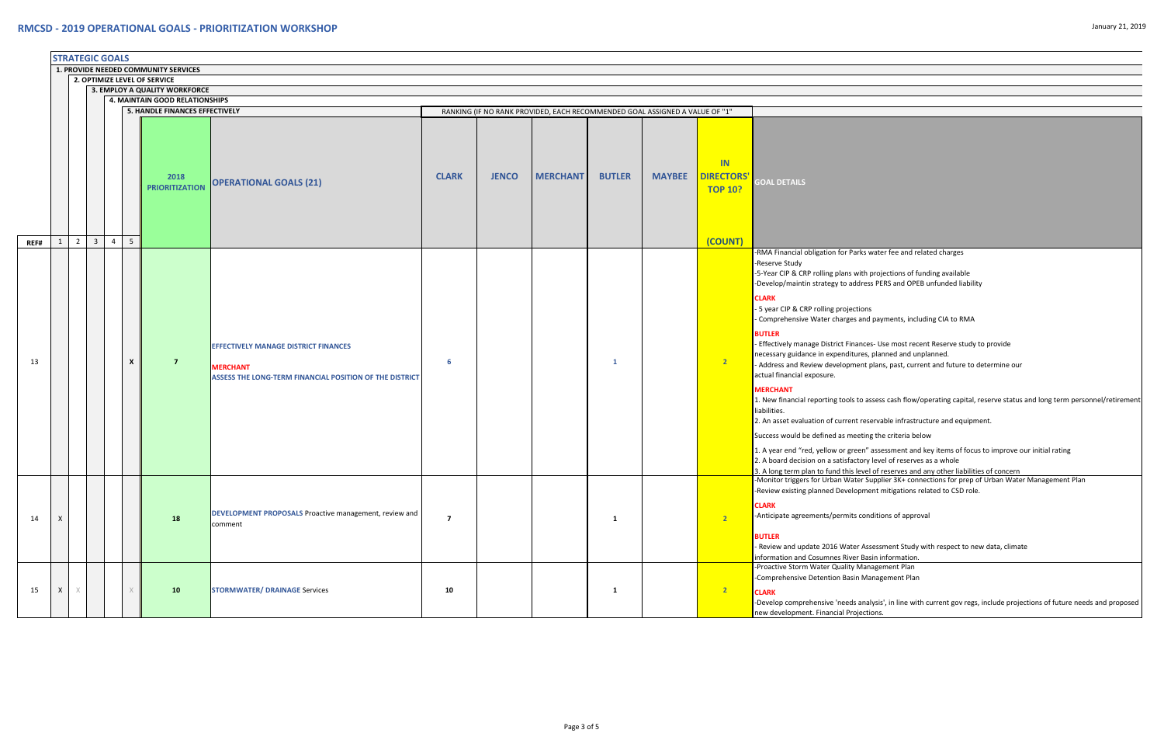|      |              |          | <b>STRATEGIC GOALS</b> |                |                           |                                                                         |                                                                                                                           |                |              |                                                                             |               |               |                                                  |                                                                                                                                                                                                                                                                                                                                                                                                                                                                                                                                                                                                                                                                                                                                                                                                                                                                                                            |
|------|--------------|----------|------------------------|----------------|---------------------------|-------------------------------------------------------------------------|---------------------------------------------------------------------------------------------------------------------------|----------------|--------------|-----------------------------------------------------------------------------|---------------|---------------|--------------------------------------------------|------------------------------------------------------------------------------------------------------------------------------------------------------------------------------------------------------------------------------------------------------------------------------------------------------------------------------------------------------------------------------------------------------------------------------------------------------------------------------------------------------------------------------------------------------------------------------------------------------------------------------------------------------------------------------------------------------------------------------------------------------------------------------------------------------------------------------------------------------------------------------------------------------------|
|      |              |          |                        |                |                           | 1. PROVIDE NEEDED COMMUNITY SERVICES                                    |                                                                                                                           |                |              |                                                                             |               |               |                                                  |                                                                                                                                                                                                                                                                                                                                                                                                                                                                                                                                                                                                                                                                                                                                                                                                                                                                                                            |
|      |              |          |                        |                |                           | 2. OPTIMIZE LEVEL OF SERVICE                                            |                                                                                                                           |                |              |                                                                             |               |               |                                                  |                                                                                                                                                                                                                                                                                                                                                                                                                                                                                                                                                                                                                                                                                                                                                                                                                                                                                                            |
|      |              |          |                        |                |                           | 3. EMPLOY A QUALITY WORKFORCE                                           |                                                                                                                           |                |              |                                                                             |               |               |                                                  |                                                                                                                                                                                                                                                                                                                                                                                                                                                                                                                                                                                                                                                                                                                                                                                                                                                                                                            |
|      |              |          |                        |                |                           | 4. MAINTAIN GOOD RELATIONSHIPS<br><b>5. HANDLE FINANCES EFFECTIVELY</b> |                                                                                                                           |                |              | RANKING (IF NO RANK PROVIDED, EACH RECOMMENDED GOAL ASSIGNED A VALUE OF "1" |               |               |                                                  |                                                                                                                                                                                                                                                                                                                                                                                                                                                                                                                                                                                                                                                                                                                                                                                                                                                                                                            |
|      |              |          |                        |                |                           |                                                                         |                                                                                                                           |                |              |                                                                             |               |               |                                                  |                                                                                                                                                                                                                                                                                                                                                                                                                                                                                                                                                                                                                                                                                                                                                                                                                                                                                                            |
|      |              |          |                        |                |                           | 2018<br><b>PRIORITIZATION</b>                                           | <b>OPERATIONAL GOALS (21)</b>                                                                                             | <b>CLARK</b>   | <b>JENCO</b> | <b>MERCHANT</b>                                                             | <b>BUTLER</b> | <b>MAYBEE</b> | <b>IN</b><br><b>DIRECTORS'</b><br><b>TOP 10?</b> | <b>GOAL DETAILS</b>                                                                                                                                                                                                                                                                                                                                                                                                                                                                                                                                                                                                                                                                                                                                                                                                                                                                                        |
| REF# | $\mathbf{1}$ | 2        | $\overline{3}$         | $\overline{4}$ | 5                         |                                                                         |                                                                                                                           |                |              |                                                                             |               |               | (COUNT)                                          |                                                                                                                                                                                                                                                                                                                                                                                                                                                                                                                                                                                                                                                                                                                                                                                                                                                                                                            |
| 13   |              |          |                        |                | $\boldsymbol{\mathsf{x}}$ | $\overline{7}$                                                          | <b>EFFECTIVELY MANAGE DISTRICT FINANCES</b><br><b>MERCHANT</b><br>ASSESS THE LONG-TERM FINANCIAL POSITION OF THE DISTRICT | -6             |              |                                                                             | $\mathbf{1}$  |               | $\overline{2}$                                   | -RMA Financial obligation for Parks water fee and re<br>-Reserve Study<br>-5-Year CIP & CRP rolling plans with projections of f<br>-Develop/maintin strategy to address PERS and OPI<br><b>CLARK</b><br>- 5 year CIP & CRP rolling projections<br>- Comprehensive Water charges and payments, incl<br><b>BUTLER</b><br>- Effectively manage District Finances- Use most rec<br>necessary guidance in expenditures, planned and u<br>- Address and Review development plans, past, curi<br>actual financial exposure.<br><b>MERCHANT</b><br>1. New financial reporting tools to assess cash flow,<br>liabilities.<br>2. An asset evaluation of current reservable infrastr<br>Success would be defined as meeting the criteria be<br>1. A year end "red, yellow or green" assessment an<br>2. A board decision on a satisfactory level of reserve<br>3. A long term plan to fund this level of reserves and |
| 14   | $\mathsf{X}$ |          |                        |                |                           | 18                                                                      | DEVELOPMENT PROPOSALS Proactive management, review and<br>comment                                                         | $\overline{7}$ |              |                                                                             | $\mathbf{1}$  |               | $\sqrt{2}$                                       | -Monitor triggers for Urban Water Supplier 3K+ con<br>-Review existing planned Development mitigations<br><b>CLARK</b><br>-Anticipate agreements/permits conditions of appro<br><b>BUTLER</b><br>- Review and update 2016 Water Assessment Study                                                                                                                                                                                                                                                                                                                                                                                                                                                                                                                                                                                                                                                           |
| 15   | X            | $\times$ |                        |                | X                         | 10                                                                      | <b>STORMWATER/ DRAINAGE Services</b>                                                                                      | 10             |              |                                                                             | $\mathbf{1}$  |               | $\sqrt{2}$                                       | information and Cosumnes River Basin information<br>-Proactive Storm Water Quality Management Plan<br>-Comprehensive Detention Basin Management Plar<br><b>CLARK</b><br>-Develop comprehensive 'needs analysis', in line wit<br>new development. Financial Projections.                                                                                                                                                                                                                                                                                                                                                                                                                                                                                                                                                                                                                                    |

arks water fee and related charges

with projections of funding available dress PERS and OPEB unfunded liability

tions: and payments, including CIA to RMA

ances- Use most recent Reserve study to provide ures, planned and unplanned.

ent plans, past, current and future to determine our

to assess cash flow/operating capital, reserve status and long term personnel/retirement

t reservable infrastructure and equipment.

eting the criteria below

een" assessment and key items of focus to improve our initial rating

tory level of reserves as a whole

level of reserves and any other liabilities of concern

ter Supplier 3K+ connections for prep of Urban Water Management Plan ppment mitigations related to CSD role.

s conditions of approval

Assessment Study with respect to new data, climate **Management Plan Management Plan** 

analysis', in line with current gov regs, include projections of future needs and proposed bjections.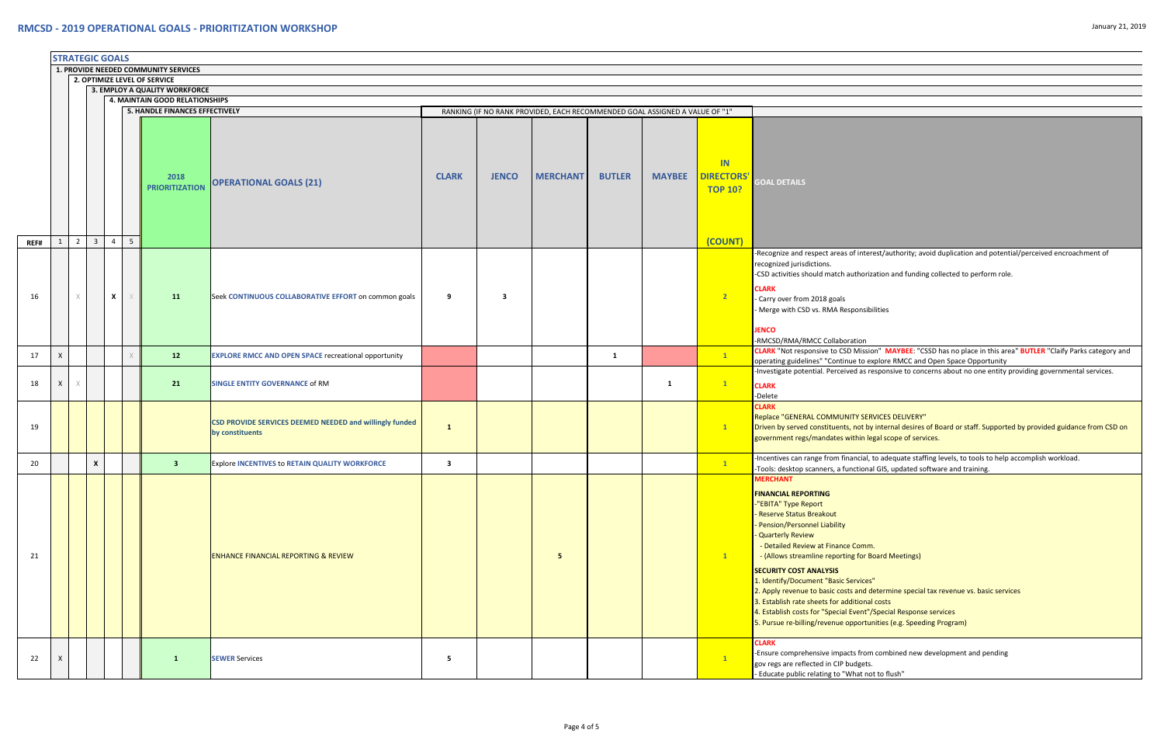|                                                                      | <b>STRATEGIC GOALS</b> |   |                |                     |                |                                       |                                                                            |                         |              |                                                                             |               |               |                                          |                                                                                                                                                                                                                                                                                                                                                                                                                                                                                                                                                                                                                        |
|----------------------------------------------------------------------|------------------------|---|----------------|---------------------|----------------|---------------------------------------|----------------------------------------------------------------------------|-------------------------|--------------|-----------------------------------------------------------------------------|---------------|---------------|------------------------------------------|------------------------------------------------------------------------------------------------------------------------------------------------------------------------------------------------------------------------------------------------------------------------------------------------------------------------------------------------------------------------------------------------------------------------------------------------------------------------------------------------------------------------------------------------------------------------------------------------------------------------|
| 1. PROVIDE NEEDED COMMUNITY SERVICES<br>2. OPTIMIZE LEVEL OF SERVICE |                        |   |                |                     |                |                                       |                                                                            |                         |              |                                                                             |               |               |                                          |                                                                                                                                                                                                                                                                                                                                                                                                                                                                                                                                                                                                                        |
|                                                                      |                        |   |                |                     |                |                                       |                                                                            |                         |              |                                                                             |               |               |                                          |                                                                                                                                                                                                                                                                                                                                                                                                                                                                                                                                                                                                                        |
|                                                                      |                        |   |                |                     |                | 3. EMPLOY A QUALITY WORKFORCE         |                                                                            |                         |              |                                                                             |               |               |                                          |                                                                                                                                                                                                                                                                                                                                                                                                                                                                                                                                                                                                                        |
|                                                                      |                        |   |                |                     |                | 4. MAINTAIN GOOD RELATIONSHIPS        |                                                                            |                         |              |                                                                             |               |               |                                          |                                                                                                                                                                                                                                                                                                                                                                                                                                                                                                                                                                                                                        |
|                                                                      |                        |   |                |                     |                | <b>5. HANDLE FINANCES EFFECTIVELY</b> |                                                                            |                         |              | RANKING (IF NO RANK PROVIDED, EACH RECOMMENDED GOAL ASSIGNED A VALUE OF "1" |               |               |                                          |                                                                                                                                                                                                                                                                                                                                                                                                                                                                                                                                                                                                                        |
|                                                                      |                        |   |                |                     |                | 2018<br><b>PRIORITIZATION</b>         | <b>OPERATIONAL GOALS (21)</b>                                              | <b>CLARK</b>            | <b>JENCO</b> | <b>MERCHANT</b>                                                             | <b>BUTLER</b> | <b>MAYBEE</b> | IN<br><b>DIRECTORS</b><br><b>TOP 10?</b> | <b>GOAL DETAILS</b>                                                                                                                                                                                                                                                                                                                                                                                                                                                                                                                                                                                                    |
|                                                                      |                        |   |                |                     |                |                                       |                                                                            |                         |              |                                                                             |               |               |                                          |                                                                                                                                                                                                                                                                                                                                                                                                                                                                                                                                                                                                                        |
| REF#<br>16                                                           |                        | 2 | $\overline{3}$ | $\overline{4}$<br>X | 5 <sup>5</sup> | <b>11</b>                             | Seek CONTINUOUS COLLABORATIVE EFFORT on common goals                       | 9                       | 3            |                                                                             |               |               | (COUNT)<br>2                             | -Recognize and respect areas of interest/authority; avoid duplication and potential/perceived encroad<br>recognized jurisdictions.<br>-CSD activities should match authorization and funding collected to perform role.<br><b>CLARK</b><br>- Carry over from 2018 goals<br>- Merge with CSD vs. RMA Responsibilities<br><b>JENCO</b><br>-RMCSD/RMA/RMCC Collaboration                                                                                                                                                                                                                                                  |
| 17                                                                   | X                      |   |                |                     |                | 12                                    | <b>EXPLORE RMCC AND OPEN SPACE recreational opportunity</b>                |                         |              |                                                                             | 1             |               | $\mathbf{1}$                             | CLARK "Not responsive to CSD Mission" MAYBEE: "CSSD has no place in this area" BUTLER "Claify Pa                                                                                                                                                                                                                                                                                                                                                                                                                                                                                                                       |
| 18                                                                   | X                      |   |                |                     |                | 21                                    | <b>SINGLE ENTITY GOVERNANCE of RM</b>                                      |                         |              |                                                                             |               | $\mathbf{1}$  | $\mathbf{1}$                             | operating guidelines" "Continue to explore RMCC and Open Space Opportunity<br>Investigate potential. Perceived as responsive to concerns about no one entity providing government-<br><b>CLARK</b><br>-Delete                                                                                                                                                                                                                                                                                                                                                                                                          |
| 19                                                                   |                        |   |                |                     |                |                                       | CSD PROVIDE SERVICES DEEMED NEEDED and willingly funded<br>by constituents | $\mathbf{1}$            |              |                                                                             |               |               | $\mathbf{1}$                             | <b>CLARK</b><br>Replace "GENERAL COMMUNITY SERVICES DELIVERY"<br>Driven by served constituents, not by internal desires of Board or staff. Supported by provided guidan<br>government regs/mandates within legal scope of services.                                                                                                                                                                                                                                                                                                                                                                                    |
| 20                                                                   |                        |   | X              |                     |                | $\overline{\mathbf{3}}$               | <b>Explore INCENTIVES to RETAIN QUALITY WORKFORCE</b>                      | $\overline{\mathbf{3}}$ |              |                                                                             |               |               | $\mathbf{1}$                             | -Incentives can range from financial, to adequate staffing levels, to tools to help accomplish workload<br>-Tools: desktop scanners, a functional GIS, updated software and training.                                                                                                                                                                                                                                                                                                                                                                                                                                  |
| 21                                                                   |                        |   |                |                     |                |                                       | <b>ENHANCE FINANCIAL REPORTING &amp; REVIEW</b>                            |                         |              | $5^{\circ}$                                                                 |               |               | $\mathbf{1}$                             | <b>MERCHANT</b><br><b>FINANCIAL REPORTING</b><br>"EBITA" Type Report<br>- Reserve Status Breakout<br>- Pension/Personnel Liability<br><b>Quarterly Review</b><br>- Detailed Review at Finance Comm.<br>- (Allows streamline reporting for Board Meetings)<br><b>SECURITY COST ANALYSIS</b><br>1. Identify/Document "Basic Services"<br>2. Apply revenue to basic costs and determine special tax revenue vs. basic services<br>3. Establish rate sheets for additional costs<br>4. Establish costs for "Special Event"/Special Response services<br>5. Pursue re-billing/revenue opportunities (e.g. Speeding Program) |
| 22                                                                   | X                      |   |                |                     |                | 1                                     | <b>SEWER Services</b>                                                      | 5                       |              |                                                                             |               |               | $\mathbf{1}$                             | <b>CLARK</b><br>-Ensure comprehensive impacts from combined new development and pending<br>gov regs are reflected in CIP budgets.<br>- Educate public relating to "What not to flush"                                                                                                                                                                                                                                                                                                                                                                                                                                  |

interest/authority; avoid duplication and potential/perceived encroachment of

Mission" MAYBEE: "CSSD has no place in this area" BUTLER "Claify Parks category and<br>• to explore RMCC and Open Space Opportunity

I as responsive to concerns about no one entity providing governmental services.

not by internal desires of Board or staff. Supported by provided guidance from CSD on hin legal scope of services.

from combined new development and pending dgets. at not to flush"